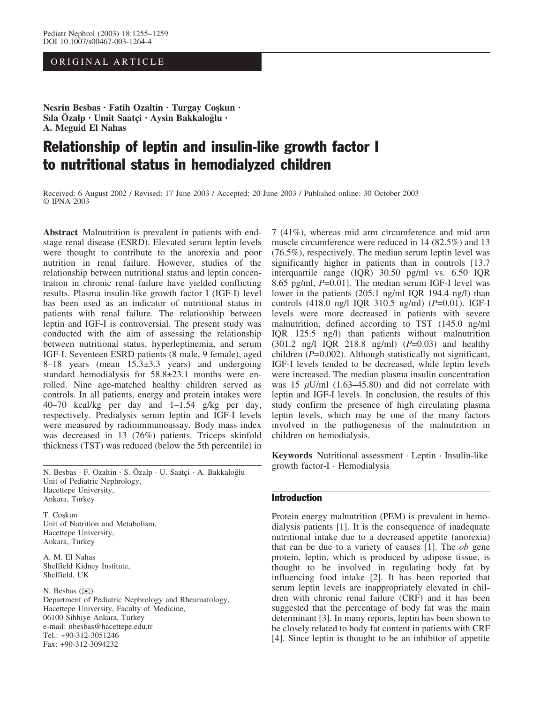# ORIGINAL ARTICLE

Nesrin Besbas · Fatih Ozaltin · Turgay Coskun · Sıla Özalp • Umit Saatçi • Aysin Bakkaloğlu • A. Meguid El Nahas

# Relationship of leptin and insulin-like growth factor I to nutritional status in hemodialyzed children

Received: 6 August 2002 / Revised: 17 June 2003 / Accepted: 20 June 2003 / Published online: 30 October 2003 © IPNA 2003

Abstract Malnutrition is prevalent in patients with endstage renal disease (ESRD). Elevated serum leptin levels were thought to contribute to the anorexia and poor nutrition in renal failure. However, studies of the relationship between nutritional status and leptin concentration in chronic renal failure have yielded conflicting results. Plasma insulin-like growth factor I (IGF-I) level has been used as an indicator of nutritional status in patients with renal failure. The relationship between leptin and IGF-I is controversial. The present study was conducted with the aim of assessing the relationship between nutritional status, hyperleptinemia, and serum IGF-I. Seventeen ESRD patients (8 male, 9 female), aged 8–18 years (mean  $15.3\pm3.3$  years) and undergoing standard hemodialysis for  $58.8\pm23.1$  months were enrolled. Nine age-matched healthy children served as controls. In all patients, energy and protein intakes were 40–70 kcal/kg per day and 1–1.54 g/kg per day, respectively. Predialysis serum leptin and IGF-I levels were measured by radioimmunoassay. Body mass index was decreased in 13 (76%) patients. Triceps skinfold thickness (TST) was reduced (below the 5th percentile) in

N. Besbas · F. Ozaltin · S. Özalp · U. Saatçi · A. Bakkaloğlu Unit of Pediatric Nephrology, Hacettepe University, Ankara, Turkey

T. Coşkun Unit of Nutrition and Metabolism, Hacettepe University, Ankara, Turkey

A. M. El Nahas Sheffield Kidney Institute, Sheffield, UK

N. Besbas  $(\mathbb{X})$ Department of Pediatric Nephrology and Rheumatology, Hacettepe University, Faculty of Medicine, 06100 Sihhiye Ankara, Turkey e-mail: nbesbas@hacettepe.edu.tr Tel.: +90-312-3051246 Fax: +90-312-3094232

7 (41%), whereas mid arm circumference and mid arm muscle circumference were reduced in 14 (82.5%) and 13 (76.5%), respectively. The median serum leptin level was significantly higher in patients than in controls [13.7] interquartile range (IQR) 30.50 pg/ml vs. 6.50 IQR 8.65 pg/ml,  $P=0.01$ . The median serum IGF-I level was lower in the patients (205.1 ng/ml IQR 194.4 ng/l) than controls (418.0 ng/l IQR 310.5 ng/ml) (P=0.01). IGF-I levels were more decreased in patients with severe malnutrition, defined according to TST (145.0 ng/ml IQR 125.5 ng/l) than patients without malnutrition  $(301.2 \text{ ng/l} \text{ IQR } 218.8 \text{ ng/ml})$   $(P=0.03)$  and healthy children  $(P=0.002)$ . Although statistically not significant, IGF-I levels tended to be decreased, while leptin levels were increased. The median plasma insulin concentration was 15  $\mu$ U/ml (1.63–45.80) and did not correlate with leptin and IGF-I levels. In conclusion, the results of this study confirm the presence of high circulating plasma leptin levels, which may be one of the many factors involved in the pathogenesis of the malnutrition in children on hemodialysis.

Keywords Nutritional assessment · Leptin · Insulin-like growth factor-I · Hemodialysis

# Introduction

Protein energy malnutrition (PEM) is prevalent in hemodialysis patients [1]. It is the consequence of inadequate nutritional intake due to a decreased appetite (anorexia) that can be due to a variety of causes  $[1]$ . The *ob* gene protein, leptin, which is produced by adipose tissue, is thought to be involved in regulating body fat by influencing food intake [2]. It has been reported that serum leptin levels are inappropriately elevated in children with chronic renal failure (CRF) and it has been suggested that the percentage of body fat was the main determinant [3]. In many reports, leptin has been shown to be closely related to body fat content in patients with CRF [4]. Since leptin is thought to be an inhibitor of appetite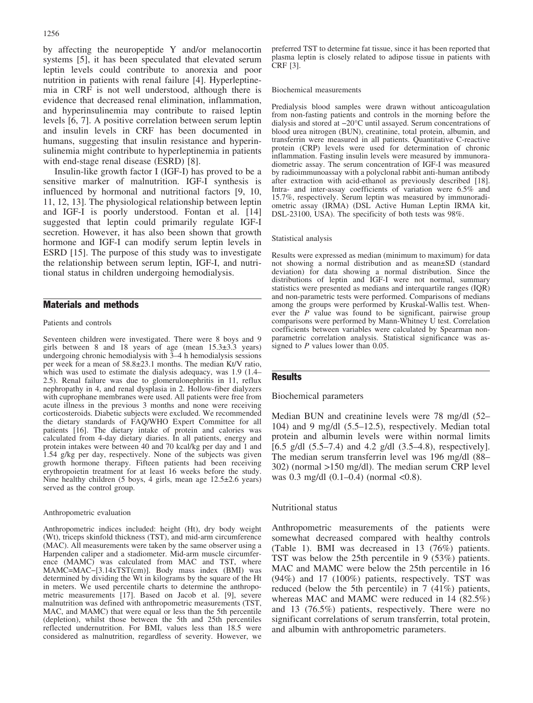by affecting the neuropeptide Y and/or melanocortin systems [5], it has been speculated that elevated serum leptin levels could contribute to anorexia and poor nutrition in patients with renal failure [4]. Hyperleptinemia in CRF is not well understood, although there is evidence that decreased renal elimination, inflammation, and hyperinsulinemia may contribute to raised leptin levels [6, 7]. A positive correlation between serum leptin and insulin levels in CRF has been documented in humans, suggesting that insulin resistance and hyperinsulinemia might contribute to hyperleptinemia in patients with end-stage renal disease (ESRD) [8].

Insulin-like growth factor I (IGF-I) has proved to be a sensitive marker of malnutrition. IGF-I synthesis is influenced by hormonal and nutritional factors [9, 10, 11, 12, 13]. The physiological relationship between leptin and IGF-I is poorly understood. Fontan et al. [14] suggested that leptin could primarily regulate IGF-I secretion. However, it has also been shown that growth hormone and IGF-I can modify serum leptin levels in ESRD [15]. The purpose of this study was to investigate the relationship between serum leptin, IGF-I, and nutritional status in children undergoing hemodialysis.

# Materials and methods

#### Patients and controls

Seventeen children were investigated. There were 8 boys and 9 girls between 8 and 18 years of age (mean  $15.3\pm3.3$  years) undergoing chronic hemodialysis with 3–4 h hemodialysis sessions per week for a mean of 58.8€23.1 months. The median Kt/V ratio, which was used to estimate the dialysis adequacy, was 1.9 (1.4– 2.5). Renal failure was due to glomerulonephritis in 11, reflux nephropathy in 4, and renal dysplasia in 2. Hollow-fiber dialyzers with cuprophane membranes were used. All patients were free from acute illness in the previous 3 months and none were receiving corticosteroids. Diabetic subjects were excluded. We recommended the dietary standards of FAQ/WHO Expert Committee for all patients [16]. The dietary intake of protein and calories was calculated from 4-day dietary diaries. In all patients, energy and protein intakes were between 40 and 70 kcal/kg per day and 1 and 1.54 g/kg per day, respectively. None of the subjects was given growth hormone therapy. Fifteen patients had been receiving erythropoietin treatment for at least 16 weeks before the study. Nine healthy children (5 boys, 4 girls, mean age 12.5±2.6 years) served as the control group.

#### Anthropometric evaluation

Anthropometric indices included: height (Ht), dry body weight (Wt), triceps skinfold thickness (TST), and mid-arm circumference (MAC). All measurements were taken by the same observer using a Harpenden caliper and a stadiometer. Mid-arm muscle circumference (MAMC) was calculated from MAC and TST, where  $MAMC=MAC-[3.14xTST(cm)]$ . Body mass index (BMI) was determined by dividing the Wt in kilograms by the square of the Ht in meters. We used percentile charts to determine the anthropometric measurements [17]. Based on Jacob et al. [9], severe malnutrition was defined with anthropometric measurements (TST, MAC, and MAMC) that were equal or less than the 5th percentile (depletion), whilst those between the 5th and 25th percentiles reflected undernutrition. For BMI, values less than 18.5 were considered as malnutrition, regardless of severity. However, we

preferred TST to determine fat tissue, since it has been reported that plasma leptin is closely related to adipose tissue in patients with CRF [3].

#### Biochemical measurements

Predialysis blood samples were drawn without anticoagulation from non-fasting patients and controls in the morning before the dialysis and stored at -20°C until assayed. Serum concentrations of blood urea nitrogen (BUN), creatinine, total protein, albumin, and transferrin were measured in all patients. Quantitative C-reactive protein (CRP) levels were used for determination of chronic inflammation. Fasting insulin levels were measured by immunoradiometric assay. The serum concentration of IGF-I was measured by radioimmunoassay with a polyclonal rabbit anti-human antibody after extraction with acid-ethanol as previously described [18]. Intra- and inter-assay coefficients of variation were 6.5% and 15.7%, respectively. Serum leptin was measured by immunoradiometric assay (IRMA) (DSL Active Human Leptin IRMA kit, DSL-23100, USA). The specificity of both tests was 98%.

#### Statistical analysis

Results were expressed as median (minimum to maximum) for data not showing a normal distribution and as mean±SD (standard deviation) for data showing a normal distribution. Since the distributions of leptin and IGF-I were not normal, summary statistics were presented as medians and interquartile ranges (IQR) and non-parametric tests were performed. Comparisons of medians among the groups were performed by Kruskal-Wallis test. Whenever the P value was found to be significant, pairwise group comparisons were performed by Mann-Whitney U test. Correlation coefficients between variables were calculated by Spearman nonparametric correlation analysis. Statistical significance was assigned to  $P$  values lower than 0.05.

#### Results

# Biochemical parameters

Median BUN and creatinine levels were 78 mg/dl (52– 104) and 9 mg/dl (5.5–12.5), respectively. Median total protein and albumin levels were within normal limits [6.5 g/d]  $(5.5-7.4)$  and 4.2 g/d]  $(3.5-4.8)$ , respectively]. The median serum transferrin level was 196 mg/dl (88– 302) (normal >150 mg/dl). The median serum CRP level was  $0.3 \text{ mg/dl}$   $(0.1 - 0.4) \text{ (normal } < 0.8)$ .

### Nutritional status

Anthropometric measurements of the patients were somewhat decreased compared with healthy controls (Table 1). BMI was decreased in 13 (76%) patients. TST was below the 25th percentile in 9 (53%) patients. MAC and MAMC were below the 25th percentile in 16 (94%) and 17 (100%) patients, respectively. TST was reduced (below the 5th percentile) in 7 (41%) patients, whereas MAC and MAMC were reduced in 14 (82.5%) and 13 (76.5%) patients, respectively. There were no significant correlations of serum transferrin, total protein, and albumin with anthropometric parameters.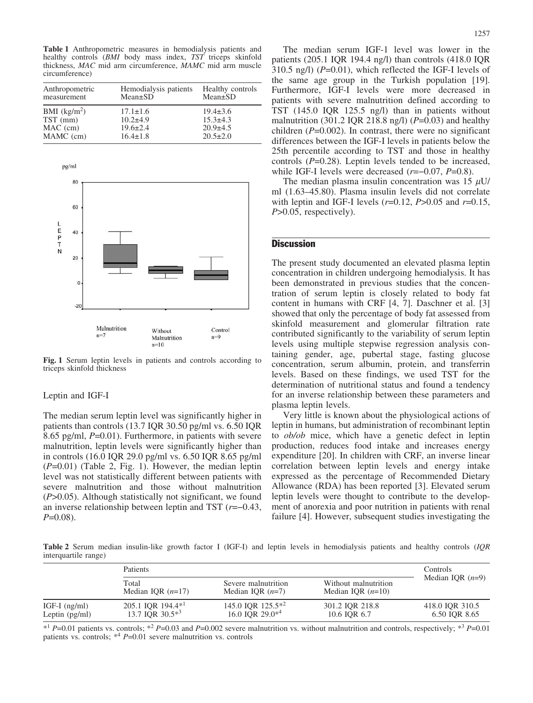Table 1 Anthropometric measures in hemodialysis patients and healthy controls (BMI body mass index, TST triceps skinfold thickness, MAC mid arm circumference, MAMC mid arm muscle circumference)

| Anthropometric | Hemodialysis patients | Healthy controls |
|----------------|-----------------------|------------------|
| measurement    | $Mean \pm SD$         | $Mean \pm SD$    |
| BMI $(kg/m2)$  | $17.1 \pm 1.6$        | $19.4 \pm 3.6$   |
| TST (mm)       | $10.2 + 4.9$          | $15.3 \pm 4.3$   |
| $MAC$ (cm)     | $19.6 \pm 2.4$        | $20.9 + 4.5$     |
| MAMC (cm)      | $16.4 \pm 1.8$        | $20.5 \pm 2.0$   |



Fig. 1 Serum leptin levels in patients and controls according to triceps skinfold thickness

# Leptin and IGF-I

The median serum leptin level was significantly higher in patients than controls (13.7 IQR 30.50 pg/ml vs. 6.50 IQR 8.65 pg/ml, P=0.01). Furthermore, in patients with severe malnutrition, leptin levels were significantly higher than in controls (16.0 IQR 29.0 pg/ml vs. 6.50 IQR 8.65 pg/ml  $(P=0.01)$  (Table 2, Fig. 1). However, the median leptin level was not statistically different between patients with severe malnutrition and those without malnutrition  $(P>0.05)$ . Although statistically not significant, we found an inverse relationship between leptin and TST  $(r=-0.43,$  $P=0.08$ ).

The median serum IGF-1 level was lower in the patients (205.1 IQR 194.4 ng/l) than controls (418.0 IQR  $310.5$  ng/l) ( $P=0.01$ ), which reflected the IGF-I levels of the same age group in the Turkish population [19]. Furthermore, IGF-I levels were more decreased in patients with severe malnutrition defined according to TST (145.0 IQR 125.5 ng/l) than in patients without malnutrition (301.2 IQR 218.8 ng/l) ( $P=0.03$ ) and healthy children  $(P=0.002)$ . In contrast, there were no significant differences between the IGF-I levels in patients below the 25th percentile according to TST and those in healthy controls  $(P=0.28)$ . Leptin levels tended to be increased, while IGF-I levels were decreased  $(r=-0.07, P=0.8)$ .

The median plasma insulin concentration was 15  $\mu$ U/ ml (1.63–45.80). Plasma insulin levels did not correlate with leptin and IGF-I levels  $(r=0.12, P>0.05$  and  $r=0.15$ , P>0.05, respectively).

# **Discussion**

The present study documented an elevated plasma leptin concentration in children undergoing hemodialysis. It has been demonstrated in previous studies that the concentration of serum leptin is closely related to body fat content in humans with CRF [4, 7]. Daschner et al. [3] showed that only the percentage of body fat assessed from skinfold measurement and glomerular filtration rate contributed significantly to the variability of serum leptin levels using multiple stepwise regression analysis containing gender, age, pubertal stage, fasting glucose concentration, serum albumin, protein, and transferrin levels. Based on these findings, we used TST for the determination of nutritional status and found a tendency for an inverse relationship between these parameters and plasma leptin levels.

Very little is known about the physiological actions of leptin in humans, but administration of recombinant leptin to *ob/ob* mice, which have a genetic defect in leptin production, reduces food intake and increases energy expenditure [20]. In children with CRF, an inverse linear correlation between leptin levels and energy intake expressed as the percentage of Recommended Dietary Allowance (RDA) has been reported [3]. Elevated serum leptin levels were thought to contribute to the development of anorexia and poor nutrition in patients with renal failure [4]. However, subsequent studies investigating the

Table 2 Serum median insulin-like growth factor I (IGF-I) and leptin levels in hemodialysis patients and healthy controls (IQR interquartile range)

|                                     | <b>Patients</b>                                     |                                              |                                             | <b>Controls</b>                  |  |
|-------------------------------------|-----------------------------------------------------|----------------------------------------------|---------------------------------------------|----------------------------------|--|
|                                     | Total<br>Median IOR $(n=17)$                        | Severe malnutrition<br>Median IOR $(n=7)$    | Without malnutrition<br>Median IOR $(n=10)$ | Median IOR $(n=9)$               |  |
| IGF-I $(ng/ml)$<br>Leptin $(pg/ml)$ | 205.1 IQR 194.4 <sup>*1</sup><br>13.7 IOR $30.5*^3$ | 145.0 IQR $125.5*^2$<br>16.0 IOR $29.0^{*4}$ | 301.2 IOR 218.8<br>10.6 IOR 6.7             | 418.0 IQR 310.5<br>6.50 IQR 8.65 |  |

 $*1$  P=0.01 patients vs. controls;  $*2$  P=0.03 and P=0.002 severe malnutrition vs. without malnutrition and controls, respectively;  $*3$  P=0.01 patients vs. controls;  $*^4$  P=0.01 severe malnutrition vs. controls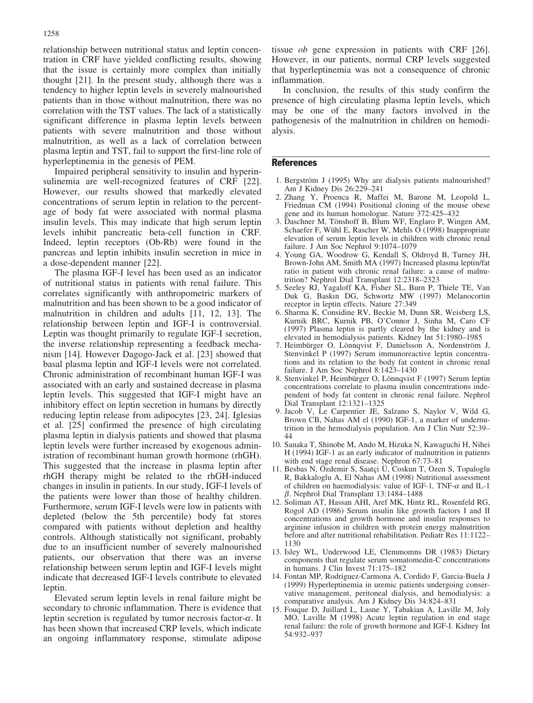relationship between nutritional status and leptin concentration in CRF have yielded conflicting results, showing that the issue is certainly more complex than initially thought [21]. In the present study, although there was a tendency to higher leptin levels in severely malnourished patients than in those without malnutrition, there was no correlation with the TST values. The lack of a statistically significant difference in plasma leptin levels between patients with severe malnutrition and those without malnutrition, as well as a lack of correlation between plasma leptin and TST, fail to support the first-line role of hyperleptinemia in the genesis of PEM.

Impaired peripheral sensitivity to insulin and hyperinsulinemia are well-recognized features of CRF [22]. However, our results showed that markedly elevated concentrations of serum leptin in relation to the percentage of body fat were associated with normal plasma insulin levels. This may indicate that high serum leptin levels inhibit pancreatic beta-cell function in CRF. Indeed, leptin receptors (Ob-Rb) were found in the pancreas and leptin inhibits insulin secretion in mice in a dose-dependent manner [22].

The plasma IGF-I level has been used as an indicator of nutritional status in patients with renal failure. This correlates significantly with anthropometric markers of malnutrition and has been shown to be a good indicator of malnutrition in children and adults [11, 12, 13]. The relationship between leptin and IGF-I is controversial. Leptin was thought primarily to regulate IGF-I secretion, the inverse relationship representing a feedback mechanism [14]. However Dagogo-Jack et al. [23] showed that basal plasma leptin and IGF-I levels were not correlated. Chronic administration of recombinant human IGF-I was associated with an early and sustained decrease in plasma leptin levels. This suggested that IGF-I might have an inhibitory effect on leptin secretion in humans by directly reducing leptin release from adipocytes [23, 24]. Iglesias et al. [25] confirmed the presence of high circulating plasma leptin in dialysis patients and showed that plasma leptin levels were further increased by exogenous administration of recombinant human growth hormone (rhGH). This suggested that the increase in plasma leptin after rhGH therapy might be related to the rhGH-induced changes in insulin in patients. In our study, IGF-I levels of the patients were lower than those of healthy children. Furthermore, serum IGF-I levels were low in patients with depleted (below the 5th percentile) body fat stores compared with patients without depletion and healthy controls. Although statistically not significant, probably due to an insufficient number of severely malnourished patients, our observation that there was an inverse relationship between serum leptin and IGF-I levels might indicate that decreased IGF-I levels contribute to elevated leptin.

Elevated serum leptin levels in renal failure might be secondary to chronic inflammation. There is evidence that leptin secretion is regulated by tumor necrosis factor- $\alpha$ . It has been shown that increased CRP levels, which indicate an ongoing inflammatory response, stimulate adipose tissue ob gene expression in patients with CRF [26]. However, in our patients, normal CRP levels suggested that hyperleptinemia was not a consequence of chronic inflammation.

In conclusion, the results of this study confirm the presence of high circulating plasma leptin levels, which may be one of the many factors involved in the pathogenesis of the malnutrition in children on hemodialysis.

#### References

- 1. Bergström J (1995) Why are dialysis patients malnourished? Am J Kidney Dis 26:229–241
- 2. Zhang Y, Proenca R, Maffei M, Barone M, Leopold L, Friedman CM (1994) Positional cloning of the mouse obese gene and its human homologue. Nature 372:425–432
- 3. Daschner M, Tönshoff B, Blum WF, Englaro P, Wingen AM, Schaefer F, Wühl E, Rascher W, Mehls O (1998) Inappropriate elevation of serum leptin levels in children with chronic renal failure. J Am Soc Nephrol 9:1074–1079
- 4. Young GA, Woodrow G, Kendall S, Oldroyd B, Turney JH, Brown-John AM, Smith MA (1997) Increased plasma leptin/fat ratio in patient with chronic renal failure: a cause of malnutrition? Nephrol Dial Transplant 12:2318–2323
- 5. Seeley RJ, Yagaloff KA, Fisher SL, Burn P, Thiele TE, Van Duk G, Baskın DG, Schwortz MW (1997) Melanocortin receptor in leptin effects. Nature 27:349
- 6. Sharma K, Considine RV, Beckie M, Dunn SR, Weisberg LS, Kurnik BRC, Kurnik PB, O'Connor J, Sinha M, Caro CF (1997) Plasma leptin is partly cleared by the kidney and is elevated in hemodialysis patients. Kidney Int 51:1980–1985
- 7. Heimbürger O, Lönnqvist F, Danielsson A, Nordenström J, Stenvinkel P (1997) Serum immunoreactive leptin concentrations and its relation to the body fat content in chronic renal failure. J Am Soc Nephrol 8:1423–1430
- 8. Stenvinkel P, Heimbürger O, Lönnqvist F (1997) Serum leptin concentrations correlate to plasma insulin concentrations independent of body fat content in chronic renal failure. Nephrol Dial Transplant 12:1321–1325
- 9. Jacob V, Le Carpentier JE, Salzano S, Naylor V, Wild G, Brown CB, Nahas AM el (1990) IGF-1, a marker of undernutrition in the hemodialysis population. Am J Clin Nutr 52:39– 44
- 10. Sanaka T, Shinobe M, Ando M, Hizuka N, Kawaguchi H, Nihei H (1994) IGF-1 as an early indicator of malnutrition in patients with end stage renal disease. Nephron 67:73–81
- 11. Besbas N, Özdemir S, Saatçi Ü, Coskun T, Ozen S, Topaloglu R, Bakkaloglu A, El Nahas AM (1998) Nutritional assessment of children on haemodialysis: value of IGF-1, TNF- $\alpha$  and IL-1  $\beta$ . Nephrol Dial Transplant 13:1484–1488
- 12. Soliman AT, Hassan AHI, Aref MK, Hintz RL, Rosenfeld RG, Rogol AD (1986) Serum insulin like growth factors I and II concentrations and growth hormone and insulin responses to arginine infusion in children with protein energy malnutrition before and after nutritional rehabilitation. Pediatr Res 11:1122– 1130
- 13. Isley WL, Underwood LE, Clemmomns DR (1983) Dietary components that regulate serum somatomedin-C concentrations in humans. J Clin Invest 71:175–182
- 14. Fontan MP, Rodriguez-Carmona A, Cordido F, Garcia-Buela J (1999) Hyperleptinemia in uremic patients undergoing conservative management, peritoneal dialysis, and hemodialysis: a comparative analysis. Am J Kidney Dis 34:824–831
- 15. Fouque D, Juillard L, Lasne Y, Tabakian A, Laville M, Joly MO, Laville M (1998) Acute leptin regulation in end stage renal failure: the role of growth hormone and IGF-I. Kidney Int 54:932–937